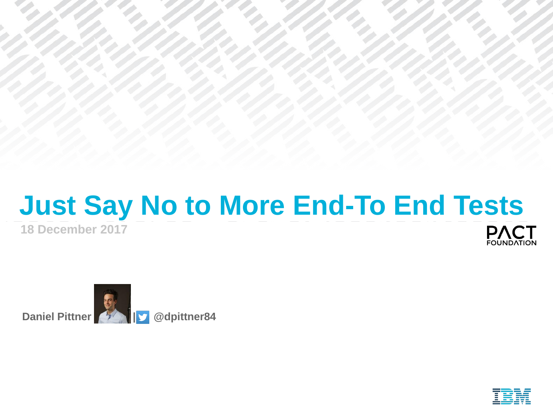#### **Just Say No to More End-To End Tests 18 December 2017 PACT**



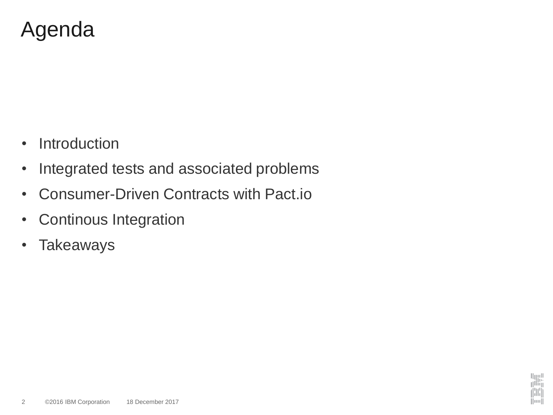## Agenda

- Introduction
- Integrated tests and associated problems
- Consumer-Driven Contracts with Pact.io
- Continous Integration
- Takeaways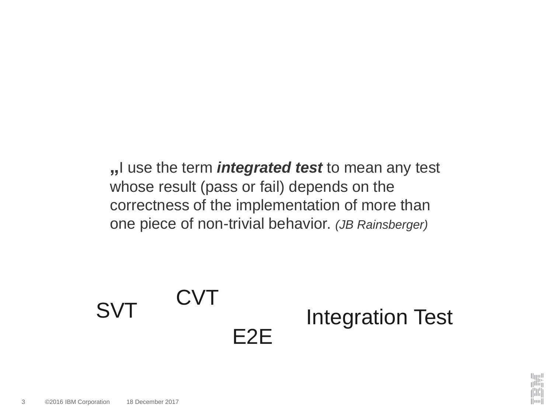**"**I use the term *integrated test* to mean any test whose result (pass or fail) depends on the correctness of the implementation of more than one piece of non-trivial behavior. *(JB Rainsberger)*

#### SVT CVT E2E Integration Test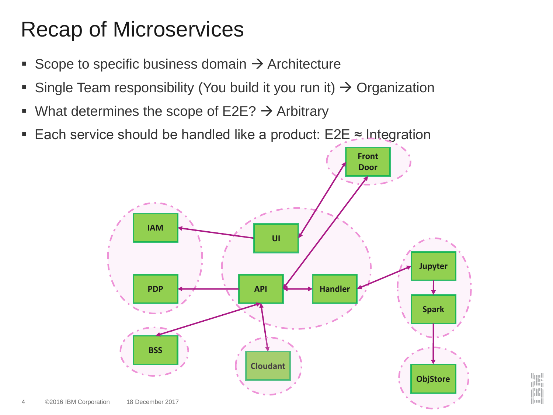# Recap of Microservices

- Scope to specific business domain  $\rightarrow$  Architecture
- **Example Team responsibility (You build it you run it)**  $\rightarrow$  **Organization**
- What determines the scope of  $E2E? \rightarrow$  Arbitrary
- Each service should be handled like a product:  $E2E \approx$  Integration

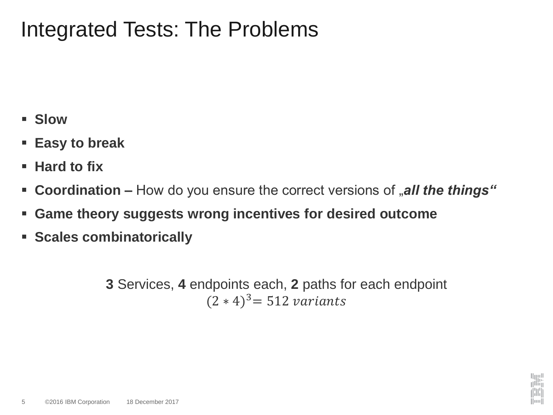#### Integrated Tests: The Problems

- **Slow**
- **Easy to break**
- **Hard to fix**
- **Coordination –** How do you ensure the correct versions of "all the things"
- **Game theory suggests wrong incentives for desired outcome**
- **Scales combinatorically**

**3** Services, **4** endpoints each, **2** paths for each endpoint  $(2 * 4)^3$  = 512 variants

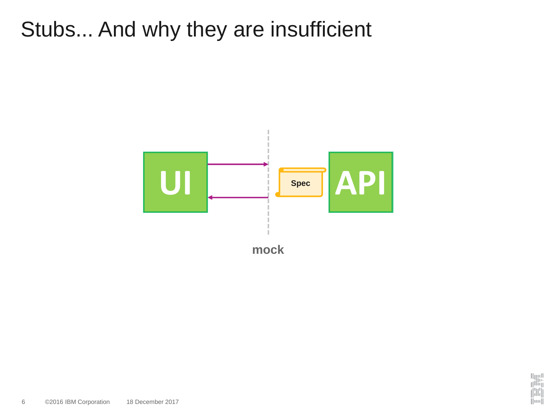## Stubs... And why they are insufficient

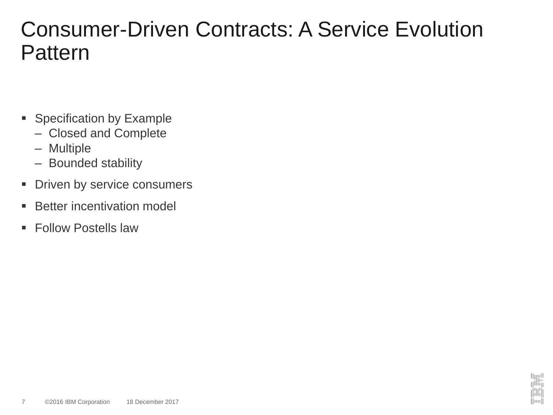#### Consumer-Driven Contracts: A Service Evolution **Pattern**

- Specification by Example
	- Closed and Complete
	- Multiple
	- Bounded stability
- **Driven by service consumers**
- Better incentivation model
- Follow Postells law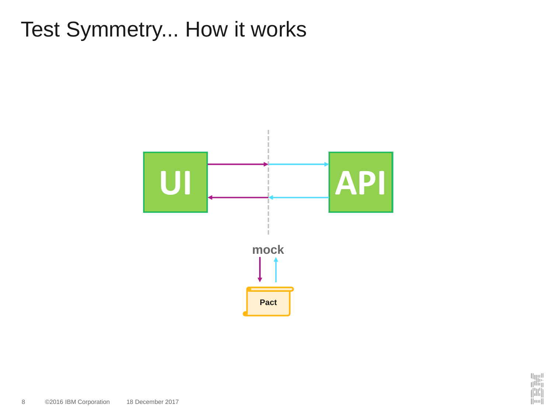# Test Symmetry... How it works



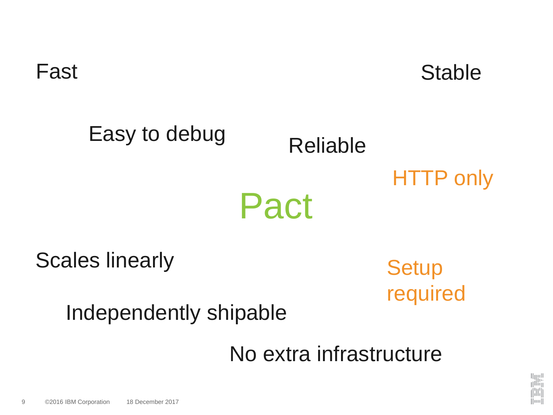Fast Stable

# Pact Easy to debug Reliable HTTP only

Scales linearly

**Setup** required

Independently shipable

No extra infrastructure

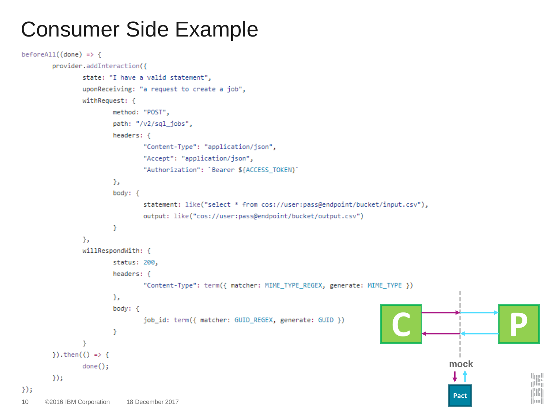### Consumer Side Example

```
beforeAll((done) \Rightarrowprovider.addInteraction({
                state: "I have a valid statement",
                uponReceiving: "a request to create a job",
                withRequest: {
                        method: "POST",
                        path: "/v2/sql_jobs",
                        headers: \{"Content-Type": "application/json",
                                "Accept": "application/json",
                                "Authorization": 'Bearer ${ACCESS_TOKEN}'
                        Ъ.
                        body: \{statement: like("select * from cos://user:pass@endpoint/bucket/input.csv"),
                                output: like("cos://user:pass@endpoint/bucket/output.csv")
                        Y
                Ъ.
                willRespondWith: {
                        status: 200,
                        headers: \{"Content-Type": term({ matcher: MIME_TYPE_REGEX, generate: MIME_TYPE })
                        Ъ.
                        body: \{C P
                                job_id: term({ matcher: GUID_REGEX, generate: GUID })
                        Y
                Y
        }).then(() => {
                                                                                                                 mock
                done();
                                                                                                                                       u<sub>llin</sub><br>T
        \}:
\});
                                                                                                                                       HH
                                                                                                                  PactHuull
10 ©2016 IBM Corporation 18 December 2017
```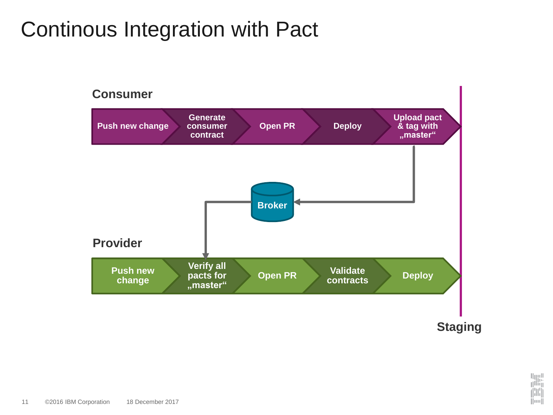## Continous Integration with Pact



 $||...||$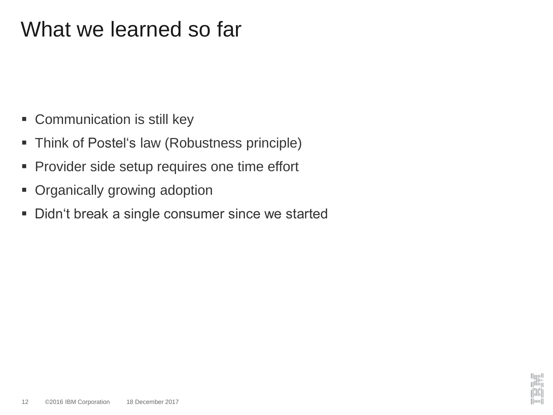## What we learned so far

- Communication is still key
- **Think of Postel's law (Robustness principle)**
- **Provider side setup requires one time effort**
- Organically growing adoption
- Didn't break a single consumer since we started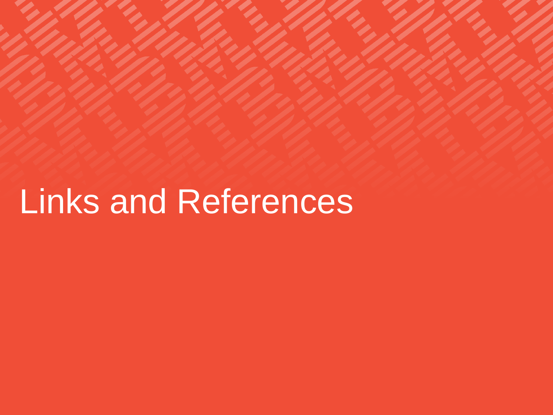# Links and References